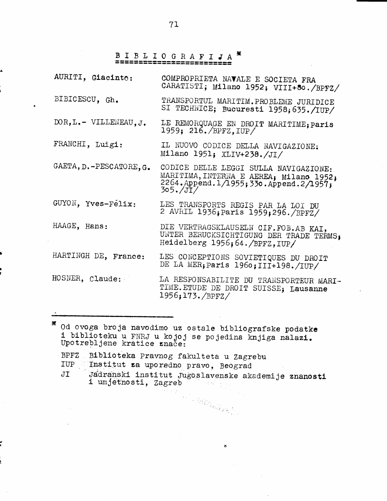## X

| AURITI, Giacinto:                         | COMPROPRIETA NAVALE E SOCIETA FRA<br>CARATISTI; Milano 1952; VIII+80./BPFZ/                                                                |
|-------------------------------------------|--------------------------------------------------------------------------------------------------------------------------------------------|
| BIBICESCU, Gh.                            | TRANSPORTUL MARITIM. PROBLEME JURIDICE<br>SI TECHNICE; Bucuresti 1958; 635./IUP/                                                           |
| $DOR, L_{\bullet}-VILLENEAU, J_{\bullet}$ | LE REMORQUAGE EN DROIT MARITIME; paris<br>1959; 216./BPFZ, IUP/                                                                            |
| FRANCHI, Luigi:                           | IL NUOVO CODICE DELLA NAVIGAZIONE:<br>Milano 1951; XLIV+238./JI/                                                                           |
| GAETA, D.-PESCATORE, G.                   | CODICE DELLE LEGGI SULLA NAVIGAZIONE:<br>MARITIMA, INTERNA E AEREA, Milano 1952,<br>2264. Append. 1/1955; 330. Append. 2/1957;<br>305./JI/ |
| GUYON, Yves-Félix:                        | LES TRANSPORTS REGIS PAR LA LOI DU<br>2 AVRIL 1936; Paris 1959; 296./BPFZ/                                                                 |
| HAAGE, Hans:                              | DIE VERTRAGSKLAUSELN CIF.FOB.AB KAI.<br>UNTER BERUCKSICHTIGUNG DER TRADE TERMS,<br>Heidelberg 1956; 64./BPFZ, IUP/                         |
| HARTINGH DE, France:                      | LES CONCEPTIONS SOVIETIQUES DU DROIT<br>DE LA MER; paris 1960; III+198./IUP/                                                               |
| HOSNER, Claude:                           | LA RESPONSABILITE DU TRANSPORTEUR MARI-<br>TIME. ETUDE DE DROIT SUISSE; Lausanne<br>1956;173./BPFZ/                                        |

X Od ovoga broja navodimo uz ostale bibliografske podatke i biblioteku u FNRJ u kojoj se pojedina knjiga nalazi.<br>Upotrebljene kratice znače:

- BPFZ Biblioteka Pravnog fakulteta u Zagrebu IUP Institut za uporedno pravo, Beograd
- 
- Jadranski institut Jugoslavenske akademije znanosti<br>i umjetnosti, Zagreb  $JI$

All Carrier Car

 $\ddot{\phantom{0}}$